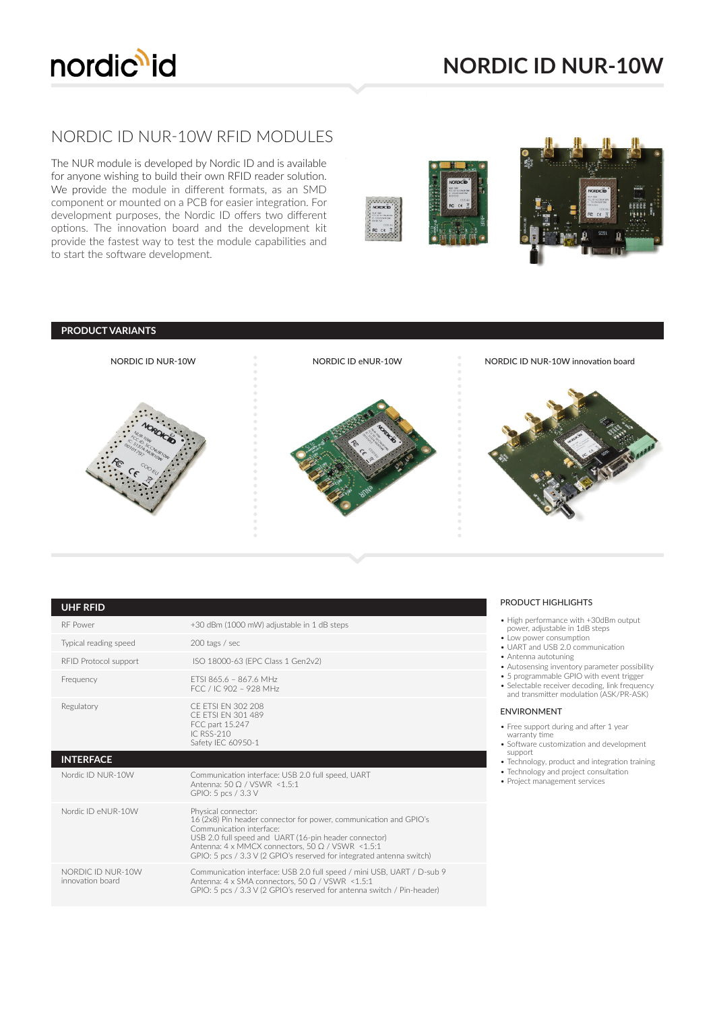

## NORDIC ID NUR-10W RFID MODULES

The NUR module is developed by Nordic ID and is available for anyone wishing to build their own RFID reader solution. We provide the module in different formats, as an SMD component or mounted on a PCB for easier integration. For development purposes, the Nordic ID offers two different options. The innovation board and the development kit provide the fastest way to test the module capabilities and to start the software development.





| <b>UHF RFID</b>       |                                                                                                                                                                                                                                                                                                                             |
|-----------------------|-----------------------------------------------------------------------------------------------------------------------------------------------------------------------------------------------------------------------------------------------------------------------------------------------------------------------------|
| <b>RF</b> Power       | +30 dBm (1000 mW) adjustable in 1 dB steps                                                                                                                                                                                                                                                                                  |
| Typical reading speed | 200 tags / sec                                                                                                                                                                                                                                                                                                              |
| RFID Protocol support | ISO 18000-63 (EPC Class 1 Gen2v2)                                                                                                                                                                                                                                                                                           |
| Frequency             | FTSI 865.6 - 867.6 MHz<br>FCC / IC 902 - 928 MHz                                                                                                                                                                                                                                                                            |
| Regulatory            | CF FTSI FN 302 208<br>CF FTSI FN 301 489<br>FCC part 15.247<br>IC RSS-210<br>Safety IEC 60950-1                                                                                                                                                                                                                             |
| <b>INTERFACE</b>      |                                                                                                                                                                                                                                                                                                                             |
|                       |                                                                                                                                                                                                                                                                                                                             |
| Nordic ID NUR-10W     | Communication interface: USB 2.0 full speed, UART<br>Antenna: 50 O / VSWR <1.5:1<br>GPIO: 5 pcs / 3.3 V                                                                                                                                                                                                                     |
| Nordic ID eNUR-10W    | Physical connector:<br>16 (2x8) Pin header connector for power, communication and GPIO's<br>Communication interface:<br>USB 2.0 full speed and UART (16-pin header connector)<br>Antenna: $4 \times$ MMCX connectors, $50 \Omega / VSWR \le 1.5:1$<br>GPIO: 5 pcs / 3.3 V (2 GPIO's reserved for integrated antenna switch) |

## PRODUCT HIGHLIGHTS

- High performance with +30dBm output power, adjustable in 1dB steps
- Low power consumption
- UART and USB 2.0 communication • Antenna autotuning
- Autosensing inventory parameter possibility
- 5 programmable GPIO with event trigger
- Selectable receiver decoding, link frequency and transmitter modulation (ASK/PR-ASK)
- ENVIRONMENT
- Free support during and after 1 year
- warranty time • Software customization and development
- support • Technology, product and integration training
- Technology and project consultation
- Project management services